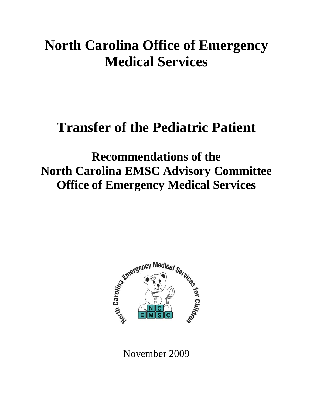# **North Carolina Office of Emergency Medical Services**

# **Transfer of the Pediatric Patient**

**Recommendations of the North Carolina EMSC Advisory Committee Office of Emergency Medical Services** 



November 2009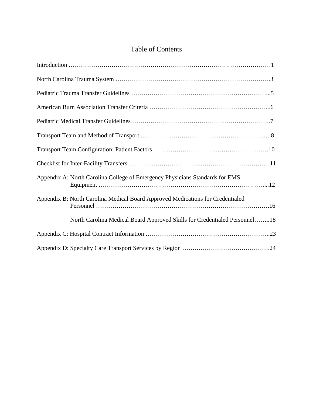# Table of Contents

| Appendix A: North Carolina College of Emergency Physicians Standards for EMS   |
|--------------------------------------------------------------------------------|
| Appendix B: North Carolina Medical Board Approved Medications for Credentialed |
| North Carolina Medical Board Approved Skills for Credentialed Personnel18      |
|                                                                                |
|                                                                                |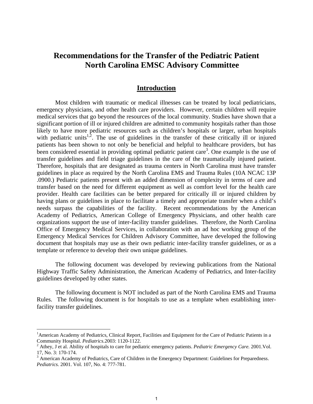# <span id="page-2-0"></span>**Recommendations for the Transfer of the Pediatric Patient North Carolina EMSC Advisory Committee**

# **Introduction**

 Most children with traumatic or medical illnesses can be treated by local pediatricians, emergency physicians, and other health care providers. However, certain children will require medical services that go beyond the resources of the local community. Studies have shown that a significant portion of ill or injured children are admitted to community hospitals rather than those likely to have more pediatric resources such as children's hospitals or larger, urban hospitals with pediatric units<sup>1,2</sup>. The use of guidelines in the transfer of these critically ill or injured patients has been shown to not only be beneficial and helpful to healthcare providers, but has been considered essential in providing optimal pediatric patient care<sup>3</sup>. One example is the use of transfer guidelines and field triage guidelines in the care of the traumatically injured patient. Therefore, hospitals that are designated as trauma centers in North Carolina must have transfer guidelines in place as required by the North Carolina EMS and Trauma Rules (10A NCAC 13P .0900.) Pediatric patients present with an added dimension of complexity in terms of care and transfer based on the need for different equipment as well as comfort level for the health care provider. Health care facilities can be better prepared for critically ill or injured children by having plans or guidelines in place to facilitate a timely and appropriate transfer when a child's needs surpass the capabilities of the facility. Recent recommendations by the American Academy of Pediatrics, American College of Emergency Physicians, and other health care organizations support the use of inter-facility transfer guidelines. Therefore, the North Carolina Office of Emergency Medical Services, in collaboration with an ad hoc working group of the Emergency Medical Services for Children Advisory Committee, have developed the following document that hospitals may use as their own pediatric inter-facility transfer guidelines, or as a template or reference to develop their own unique guidelines.

 The following document was developed by reviewing publications from the National Highway Traffic Safety Administration, the American Academy of Pediatrics, and Inter-facility guidelines developed by other states.

 The following document is NOT included as part of the North Carolina EMS and Trauma Rules. The following document is for hospitals to use as a template when establishing interfacility transfer guidelines.

 $\overline{a}$ 

<sup>&</sup>lt;sup>1</sup>American Academy of Pediatrics, Clinical Report, Facilities and Equipment for the Care of Pediatric Patients in a Community Hospital. *Pediatrics*.2003: 1120-1122.

Athey, J et al. Ability of hospitals to care for pediatric emergency patients. *Pediatric Emergency Care.* 2001.Vol. 17, No. 3: 170-174.

<sup>&</sup>lt;sup>3</sup> American Academy of Pediatrics, Care of Children in the Emergency Department: Guidelines for Preparedness. *Pediatrics.* 2001. Vol. 107, No. 4: 777-781.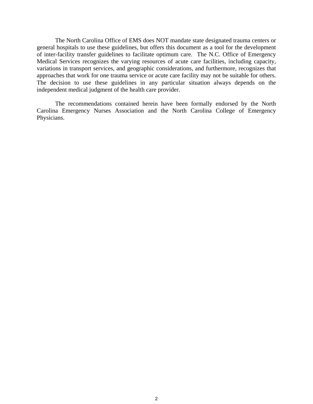The North Carolina Office of EMS does NOT mandate state designated trauma centers or general hospitals to use these guidelines, but offers this document as a tool for the development of inter-facility transfer guidelines to facilitate optimum care. The N.C. Office of Emergency Medical Services recognizes the varying resources of acute care facilities, including capacity, variations in transport services, and geographic considerations, and furthermore, recognizes that approaches that work for one trauma service or acute care facility may not be suitable for others. The decision to use these guidelines in any particular situation always depends on the independent medical judgment of the health care provider.

 The recommendations contained herein have been formally endorsed by the North Carolina Emergency Nurses Association and the North Carolina College of Emergency Physicians.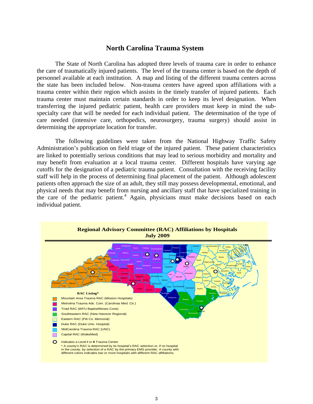# **North Carolina Trauma System**

<span id="page-4-0"></span> The State of North Carolina has adopted three levels of trauma care in order to enhance the care of traumatically injured patients. The level of the trauma center is based on the depth of personnel available at each institution. A map and listing of the different trauma centers across the state has been included below. Non-trauma centers have agreed upon affiliations with a trauma center within their region which assists in the timely transfer of injured patients. Each trauma center must maintain certain standards in order to keep its level designation. When transferring the injured pediatric patient, health care providers must keep in mind the subspecialty care that will be needed for each individual patient. The determination of the type of care needed (intensive care, orthopedics, neurosurgery, trauma surgery) should assist in determining the appropriate location for transfer.

 The following guidelines were taken from the National Highway Traffic Safety Administration's publication on field triage of the injured patient. These patient characteristics are linked to potentially serious conditions that may lead to serious morbidity and mortality and may benefit from evaluation at a local trauma center. Different hospitals have varying age cutoffs for the designation of a pediatric trauma patient. Consultation with the receiving facility staff will help in the process of determining final placement of the patient. Although adolescent patients often approach the size of an adult, they still may possess developmental, emotional, and physical needs that may benefit from nursing and ancillary staff that have specialized training in the care of the pediatric patient.<sup>4</sup> Again, physicians must make decisions based on each individual patient.

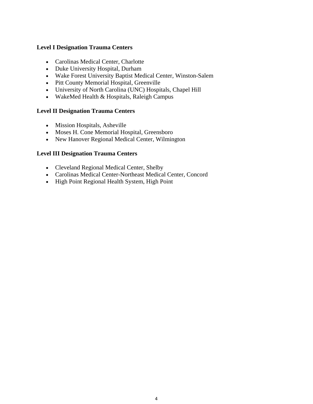# **Level I Designation Trauma Centers**

- Carolinas Medical Center, Charlotte
- Duke University Hospital, Durham
- Wake Forest University Baptist Medical Center, Winston-Salem
- Pitt County Memorial Hospital, Greenville
- University of North Carolina (UNC) Hospitals, Chapel Hill
- WakeMed Health & Hospitals, Raleigh Campus

# **Level II Designation Trauma Centers**

- Mission Hospitals, Asheville
- Moses H. Cone Memorial Hospital, Greensboro
- New Hanover Regional Medical Center, Wilmington

# **Level III Designation Trauma Centers**

- Cleveland Regional Medical Center, Shelby
- Carolinas Medical Center-Northeast Medical Center, Concord
- High Point Regional Health System, High Point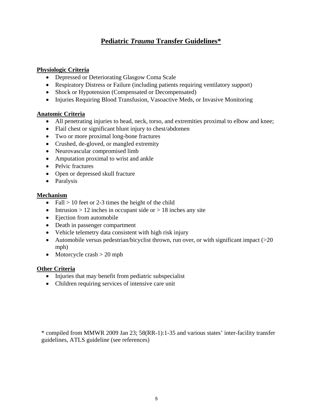# **Pediatric** *Trauma* **Transfer Guidelines\***

# <span id="page-6-0"></span>**Physiologic Criteria**

- Depressed or Deteriorating Glasgow Coma Scale
- Respiratory Distress or Failure (including patients requiring ventilatory support)
- Shock or Hypotension (Compensated or Decompensated)
- Injuries Requiring Blood Transfusion, Vasoactive Meds, or Invasive Monitoring

# **Anatomic Criteria**

- All penetrating injuries to head, neck, torso, and extremities proximal to elbow and knee;
- Flail chest or significant blunt injury to chest/abdomen
- Two or more proximal long-bone fractures
- Crushed, de-gloved, or mangled extremity
- Neurovascular compromised limb
- Amputation proximal to wrist and ankle
- Pelvic fractures
- Open or depressed skull fracture
- Paralysis

# **Mechanism**

- Fall  $> 10$  feet or 2-3 times the height of the child
- Intrusion > 12 inches in occupant side or > 18 inches any site
- Ejection from automobile
- Death in passenger compartment
- Vehicle telemetry data consistent with high risk injury
- Automobile versus pedestrian/bicyclist thrown, run over, or with significant impact (>20 mph)
- Motorcycle crash  $> 20$  mph

# **Other Criteria**

- Injuries that may benefit from pediatric subspecialist
- Children requiring services of intensive care unit

\* compiled from MMWR 2009 Jan 23; 58(RR-1):1-35 and various states' inter-facility transfer guidelines, ATLS guideline (see references)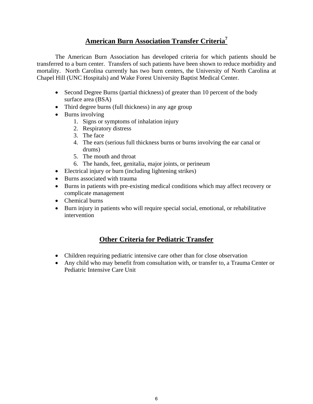# **American Burn Association Transfer Criteria<sup>7</sup>**

<span id="page-7-0"></span> The American Burn Association has developed criteria for which patients should be transferred to a burn center. Transfers of such patients have been shown to reduce morbidity and mortality. North Carolina currently has two burn centers, the University of North Carolina at Chapel Hill (UNC Hospitals) and Wake Forest University Baptist Medical Center.

- Second Degree Burns (partial thickness) of greater than 10 percent of the body surface area (BSA)
- Third degree burns (full thickness) in any age group
- Burns involving
	- 1. Signs or symptoms of inhalation injury
	- 2. Respiratory distress
	- 3. The face
	- 4. The ears (serious full thickness burns or burns involving the ear canal or drums)
	- 5. The mouth and throat
	- 6. The hands, feet, genitalia, major joints, or perineum
- Electrical injury or burn (including lightening strikes)
- Burns associated with trauma
- Burns in patients with pre-existing medical conditions which may affect recovery or complicate management
- Chemical burns
- Burn injury in patients who will require special social, emotional, or rehabilitative intervention

# **Other Criteria for Pediatric Transfer**

- Children requiring pediatric intensive care other than for close observation
- Any child who may benefit from consultation with, or transfer to, a Trauma Center or Pediatric Intensive Care Unit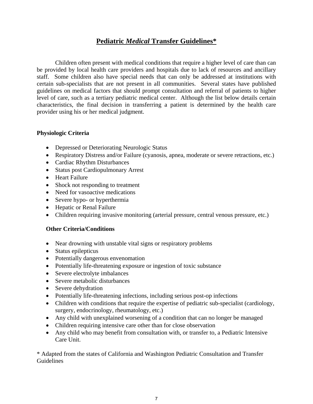# **Pediatric** *Medical* **Transfer Guidelines\***

<span id="page-8-0"></span> Children often present with medical conditions that require a higher level of care than can be provided by local health care providers and hospitals due to lack of resources and ancillary staff. Some children also have special needs that can only be addressed at institutions with certain sub-specialists that are not present in all communities. Several states have published guidelines on medical factors that should prompt consultation and referral of patients to higher level of care, such as a tertiary pediatric medical center. Although the list below details certain characteristics, the final decision in transferring a patient is determined by the health care provider using his or her medical judgment.

# **Physiologic Criteria**

- Depressed or Deteriorating Neurologic Status
- Respiratory Distress and/or Failure (cyanosis, apnea, moderate or severe retractions, etc.)
- Cardiac Rhythm Disturbances
- Status post Cardiopulmonary Arrest
- Heart Failure
- Shock not responding to treatment
- Need for vasoactive medications
- Severe hypo- or hyperthermia
- Hepatic or Renal Failure
- Children requiring invasive monitoring (arterial pressure, central venous pressure, etc.)

# **Other Criteria/Conditions**

- Near drowning with unstable vital signs or respiratory problems
- Status epilepticus
- Potentially dangerous envenomation
- Potentially life-threatening exposure or ingestion of toxic substance
- Severe electrolyte imbalances
- Severe metabolic disturbances
- Severe dehydration
- Potentially life-threatening infections, including serious post-op infections
- Children with conditions that require the expertise of pediatric sub-specialist (cardiology, surgery, endocrinology, rheumatology, etc.)
- Any child with unexplained worsening of a condition that can no longer be managed
- Children requiring intensive care other than for close observation
- Any child who may benefit from consultation with, or transfer to, a Pediatric Intensive Care Unit.

\* Adapted from the states of California and Washington Pediatric Consultation and Transfer Guidelines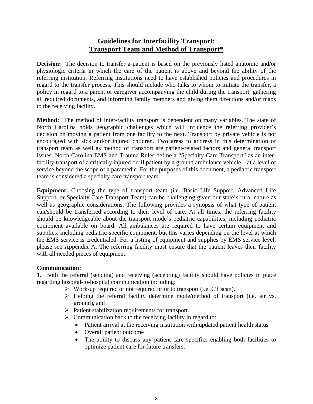# **Guidelines for Interfacility Transport: Transport Team and Method of Transport\***

<span id="page-9-0"></span>**Decision:** The decision to transfer a patient is based on the previously listed anatomic and/or physiologic criteria in which the care of the patient is above and beyond the ability of the referring institution. Referring institutions need to have established policies and procedures in regard to the transfer process. This should include who talks to whom to initiate the transfer, a policy in regard to a parent or caregiver accompanying the child during the transport, gathering all required documents, and informing family members and giving them directions and/or maps to the receiving facility.

**Method:** The method of inter-facility transport is dependent on many variables. The state of North Carolina holds geographic challenges which will influence the referring provider's decision on moving a patient from one facility to the next. Transport by private vehicle is not encouraged with sick and/or injured children. Two areas to address in this determination of transport team as well as method of transport are patient-related factors and general transport issues. North Carolina EMS and Trauma Rules define a "Specialty Care Transport" as an interfacility transport of a critically injured or ill patient by a ground ambulance vehicle…at a level of service beyond the scope of a paramedic. For the purposes of this document, a pediatric transport team is considered a specialty care transport team.

**Equipment:** Choosing the type of transport team (i.e. Basic Life Support, Advanced Life Support, or Specialty Care Transport Team) can be challenging given our state's rural nature as well as geographic considerations. The following provides a synopsis of what type of patient can/should be transferred according to their level of care. At all times, the referring facility should be knowledgeable about the transport mode's pediatric capabilities, including pediatric equipment available on board. All ambulances are required to have certain equipment and supplies, including pediatric-specific equipment, but this varies depending on the level at which the EMS service is credentialed. For a listing of equipment and supplies by EMS service level, please see Appendix A. The referring facility must ensure that the patient leaves their facility with all needed pieces of equipment.

# **Communication:**

1. Both the referral (sending) and receiving (accepting) facility should have policies in place regarding hospital-to-hospital communication including:

- $\triangleright$  Work-up required or not required prior to transport (i.e. CT scan),
- $\triangleright$  Helping the referral facility determine mode/method of transport (i.e. air vs. ground), and
- $\triangleright$  Patient stabilization requirements for transport.
- $\triangleright$  Communication back to the receiving facility in regard to:
	- Patient arrival at the receiving institution with updated patient health status
	- Overall patient outcome
	- The ability to discuss any patient care specifics enabling both facilities to optimize patient care for future transfers.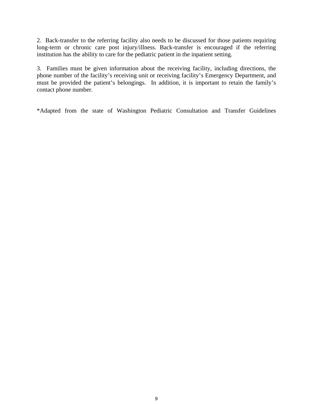2. Back-transfer to the referring facility also needs to be discussed for those patients requiring long-term or chronic care post injury/illness. Back-transfer is encouraged if the referring institution has the ability to care for the pediatric patient in the inpatient setting.

3. Families must be given information about the receiving facility, including directions, the phone number of the facility's receiving unit or receiving facility's Emergency Department, and must be provided the patient's belongings. In addition, it is important to retain the family's contact phone number.

\*Adapted from the state of Washington Pediatric Consultation and Transfer Guidelines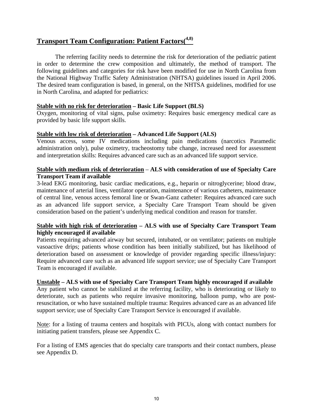# <span id="page-11-0"></span>**Transport Team Configuration: Patient Factors(4,8)**

 The referring facility needs to determine the risk for deterioration of the pediatric patient in order to determine the crew composition and ultimately, the method of transport. The following guidelines and categories for risk have been modified for use in North Carolina from the National Highway Traffic Safety Administration (NHTSA) guidelines issued in April 2006. The desired team configuration is based, in general, on the NHTSA guidelines, modified for use in North Carolina, and adapted for pediatrics:

# **Stable with no risk for deterioration – Basic Life Support (BLS)**

Oxygen, monitoring of vital signs, pulse oximetry: Requires basic emergency medical care as provided by basic life support skills.

# **Stable with low risk of deterioration – Advanced Life Support (ALS)**

Venous access, some IV medications including pain medications (narcotics Paramedic administration only), pulse oximetry, tracheostomy tube change, increased need for assessment and interpretation skills: Requires advanced care such as an advanced life support service.

# **Stable with medium risk of deterioration** – **ALS with consideration of use of Specialty Care Transport Team if available**

3-lead EKG monitoring, basic cardiac medications, e.g., heparin or nitroglycerine; blood draw, maintenance of arterial lines, ventilator operation, maintenance of various catheters, maintenance of central line, venous access femoral line or Swan-Ganz catheter: Requires advanced care such as an advanced life support service, a Specialty Care Transport Team should be given consideration based on the patient's underlying medical condition and reason for transfer.

# **Stable with high risk of deterioration – ALS with use of Specialty Care Transport Team highly encouraged if available**

Patients requiring advanced airway but secured, intubated, or on ventilator; patients on multiple vasoactive drips; patients whose condition has been initially stabilized, but has likelihood of deterioration based on assessment or knowledge of provider regarding specific illness/injury: Require advanced care such as an advanced life support service; use of Specialty Care Transport Team is encouraged if available.

# **Unstable – ALS with use of Specialty Care Transport Team highly encouraged if available**

Any patient who cannot be stabilized at the referring facility, who is deteriorating or likely to deteriorate, such as patients who require invasive monitoring, balloon pump, who are postresuscitation, or who have sustained multiple trauma: Requires advanced care as an advanced life support service; use of Specialty Care Transport Service is encouraged if available.

Note: for a listing of trauma centers and hospitals with PICUs, along with contact numbers for initiating patient transfers, please see Appendix C.

For a listing of EMS agencies that do specialty care transports and their contact numbers, please see Appendix D.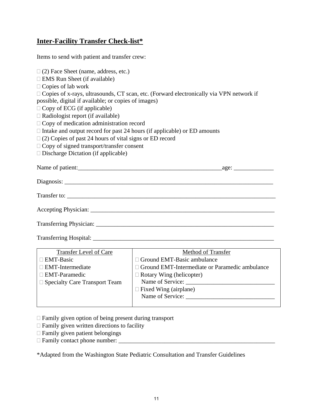# <span id="page-12-0"></span>**Inter-Facility Transfer Check-list\***

| Items to send with patient and transfer crew:                                   |                                                                                                |
|---------------------------------------------------------------------------------|------------------------------------------------------------------------------------------------|
| $\Box$ (2) Face Sheet (name, address, etc.)                                     |                                                                                                |
| $\Box$ EMS Run Sheet (if available)                                             |                                                                                                |
| $\Box$ Copies of lab work                                                       |                                                                                                |
|                                                                                 | $\Box$ Copies of x-rays, ultrasounds, CT scan, etc. (Forward electronically via VPN network if |
| possible, digital if available; or copies of images)                            |                                                                                                |
| $\Box$ Copy of ECG (if applicable)                                              |                                                                                                |
| $\Box$ Radiologist report (if available)                                        |                                                                                                |
| $\Box$ Copy of medication administration record                                 |                                                                                                |
| $\Box$ Intake and output record for past 24 hours (if applicable) or ED amounts |                                                                                                |
| $\Box$ (2) Copies of past 24 hours of vital signs or ED record                  |                                                                                                |
| $\Box$ Copy of signed transport/transfer consent                                |                                                                                                |
| $\square$ Discharge Dictation (if applicable)                                   |                                                                                                |
|                                                                                 |                                                                                                |
|                                                                                 |                                                                                                |
|                                                                                 |                                                                                                |
|                                                                                 |                                                                                                |
|                                                                                 |                                                                                                |
|                                                                                 |                                                                                                |
|                                                                                 |                                                                                                |
|                                                                                 |                                                                                                |
|                                                                                 |                                                                                                |
|                                                                                 |                                                                                                |
|                                                                                 |                                                                                                |
|                                                                                 |                                                                                                |
|                                                                                 |                                                                                                |
| <b>Transfer Level of Care</b><br>□ EMT-Basic                                    | Method of Transfer<br>□ Ground EMT-Basic ambulance                                             |

| ⊥ EM F-Intermediate                  | $\Box$ Ground EMT-Intermediate or Paramedic ambulance |
|--------------------------------------|-------------------------------------------------------|
| $\Box$ EMT-Paramedic                 | $\Box$ Rotary Wing (helicopter)                       |
| $\Box$ Specialty Care Transport Team | Name of Service:                                      |
|                                      | $\Box$ Fixed Wing (airplane)                          |
|                                      | Name of Service:                                      |
|                                      |                                                       |

Family given option of being present during transport

- $\Box$  Family given written directions to facility
- $\Box$  Family given patient belongings
- Family contact phone number: \_\_\_\_\_\_\_\_\_\_\_\_\_\_\_\_\_\_\_\_\_\_\_\_\_\_\_\_\_\_\_\_\_\_\_\_\_\_\_\_\_\_\_\_\_\_\_\_\_\_\_

\*Adapted from the Washington State Pediatric Consultation and Transfer Guidelines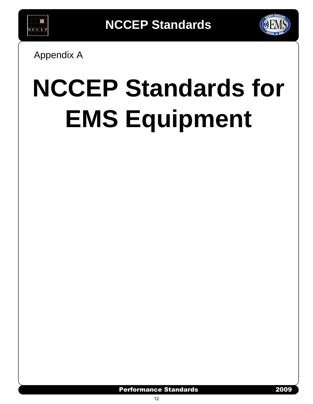<span id="page-13-0"></span>



Appendix A

# **NCCEP Standards for EMS Equipment**

# Performance Standards 2009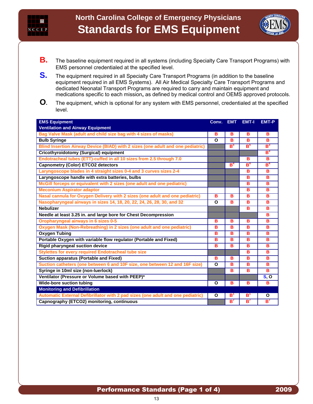



- **B.** The baseline equipment required in all systems (including Specialty Care Transport Programs) with EMS personnel credentialed at the specified level.
- **S.** The equipment required in all Specialty Care Transport Programs (in addition to the baseline equipment required in all EMS Systems). All Air Medical Specialty Care Transport Programs and dedicated Neonatal Transport Programs are required to carry and maintain equipment and medications specific to each mission**,** as defined by medical control and OEMS approved protocols.
- **O.** The equipment, which is optional for any system with EMS personnel, credentialed at the specified level.

| <b>EMS Equipment</b>                                                            | Conv.    | <b>EMT</b>     | <b>EMT-I</b>   | EMT-P          |
|---------------------------------------------------------------------------------|----------|----------------|----------------|----------------|
| <b>Ventilation and Airway Equipment</b>                                         |          |                |                |                |
| Bag Valve Mask (adult and child size bag with 4 sizes of masks)                 | в        | в              | в              | в              |
| <b>Bulb Syringe</b>                                                             | $\Omega$ | B              | B              | B              |
| Blind Insertion Airway Device (BIAD) with 2 sizes (one adult and one pediatric) |          | $B^5$          | $B^5$          | $B^3$          |
| <b>Cricothyroidotomy (Surgical) equipment</b>                                   |          |                |                | $B^3$          |
| Endotracheal tubes (ETT)-cuffed in all 10 sizes from 2.5 through 7.0            |          |                | в              | в              |
| <b>Capnometry (Color) ETCO2 detectors</b>                                       |          | $B^4$          | $B^4$          | B <sup>4</sup> |
| Laryngoscope blades in 4 straight sizes 0-4 and 3 curves sizes 2-4              |          |                | в              | в              |
| Laryngoscope handle with extra batteries, bulbs                                 |          |                | B              | B              |
| McGill forceps or equivalent with 2 sizes (one adult and one pediatric)         |          |                | В              | в              |
| <b>Meconium Aspirator adaptor</b>                                               |          |                | в              | в              |
| Nasal cannula for Oxygen Delivery with 2 sizes (one adult and one pediatric)    | B        | B              | B              | B              |
| Nasopharyngeal airways in sizes 14, 18, 20, 22, 24, 26, 28, 30, and 32          | O        | в              | в              | B              |
| <b>Nebulizer</b>                                                                |          |                | B              | B              |
| Needle at least 3.25 in. and large bore for Chest Decompression                 |          |                |                | B              |
| Oropharyngeal airways in 6 sizes 0-5                                            | в        | в              | в              | в              |
| Oxygen Mask (Non-Rebreathing) in 2 sizes (one adult and one pediatric)          | B        | B              | в              | B              |
| <b>Oxygen Tubing</b>                                                            | в        | B              | в              | в              |
| Portable Oxygen with variable flow regulator (Portable and Fixed)               | B        | B              | в              | в              |
| <b>Rigid pharyngeal suction device</b>                                          | B        | в              | B              | в              |
| <b>Stylettes for every required Endotracheal tube size</b>                      |          |                | в              | в              |
| <b>Suction apparatus (Portable and Fixed)</b>                                   | в        | в              | B              | B              |
| Suction catheters (one between 6 and 10F size, one between 12 and 16F size)     | O        | в              | в              | в              |
| Syringe in 10ml size (non-luerlock)                                             |          | B              | B              | B              |
| Ventilator (Pressure or Volume based with PEEP)*                                |          |                |                | S, O           |
| <b>Wide-bore suction tubing</b>                                                 | O        | в              | в              | B              |
| <b>Monitoring and Defibrillation</b>                                            |          |                |                |                |
| Automatic External Defibrillator with 2 pad sizes (one adult and one pediatric) | O        | B <sup>1</sup> | $\textbf{B}^1$ | O              |
| Capnography (ETCO2) monitoring, continuous                                      |          | $B^7$          | $B^7$          | $B^7$          |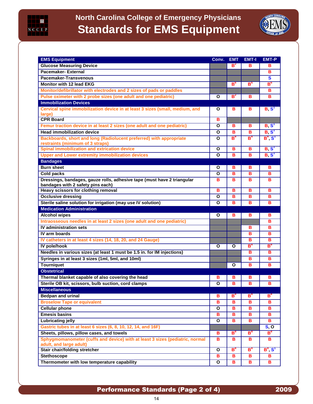

# **North Carolina College of Emergency Physicians Standards for EMS Equipment**



| <b>EMS Equipment</b>                                                                                         | Conv.                   | <b>EMT</b> | <b>EMT-I</b>            | EMT-P                   |
|--------------------------------------------------------------------------------------------------------------|-------------------------|------------|-------------------------|-------------------------|
| <b>Glucose Measuring Device</b>                                                                              |                         | $B^2$      | в                       | в                       |
| <b>Pacemaker-External</b>                                                                                    |                         |            |                         | в                       |
| <b>Pacemaker-Transvenous</b>                                                                                 |                         |            |                         | $\overline{\mathbf{s}}$ |
| <b>Monitor with 12 lead EKG</b>                                                                              |                         | $B^6$      | $B^6$                   | $B^6$                   |
| Monitor/defibrillator with electrodes and 2 sizes of pads or paddles                                         |                         |            |                         | в                       |
| Pulse oximeter with 2 probe sizes (one adult and one pediatric)                                              | O                       | $B^2$      | в                       | B                       |
| <b>Immobilization Devices</b>                                                                                |                         |            |                         |                         |
| Cervical spine immobilization device in at least 3 sizes (small, medium, and                                 | Ο                       | в          | в                       | B, S'                   |
| large)                                                                                                       |                         |            |                         |                         |
| <b>CPR Board</b>                                                                                             | в                       |            |                         |                         |
| Femur traction device in at least 2 sizes (one adult and one pediatric)                                      | $\overline{\mathbf{o}}$ | в          | в                       | B, S <sup>1</sup>       |
| <b>Head immobilization device</b>                                                                            | Ο                       | в          | B                       | B, S <sup>T</sup>       |
| Backboards, short and long (Radiolucent preferred) with appropriate                                          | Ο                       | $B^8$      | $B^8$                   | $B^8, S^1$              |
| restraints (minimum of 3 straps)                                                                             |                         |            |                         |                         |
| Spinal immobilization and extrication device                                                                 | O                       | в          | B                       | $B, S^T$                |
| <b>Upper and Lower extremity immobilization devices</b>                                                      | O                       | в          | в                       | B, S <sup>T</sup>       |
| <b>Bandages</b>                                                                                              |                         |            |                         |                         |
| <b>Burn sheet</b>                                                                                            | Ο                       | в          | в                       | в                       |
| <b>Cold packs</b>                                                                                            | Ο                       | в          | в                       | в                       |
| Dressings, bandages, gauze rolls, adhesive tape (must have 2 triangular<br>bandages with 2 safety pins each) | в                       | в          | в                       | в                       |
| Heavy scissors for clothing removal                                                                          | в                       | в          | в                       | в                       |
| <b>Occlusive dressing</b>                                                                                    | Ο                       | в          | в                       | в                       |
| Sterile saline solution for irrigation (may use IV solution)                                                 | О                       | в          | в                       | в                       |
| <b>Medication Administration</b>                                                                             |                         |            |                         |                         |
| <b>Alcohol wipes</b>                                                                                         | Ο                       |            |                         |                         |
|                                                                                                              |                         | в          | в                       | в                       |
| Intraosseous needles in at least 2 sizes (one adult and one pediatric)                                       |                         |            |                         | в                       |
| <b>IV administration sets</b>                                                                                |                         |            | в                       | в                       |
| IV arm boards                                                                                                |                         |            | в                       | в                       |
| IV catheters in at least 4 sizes (14, 18, 20, and 24 Gauge)                                                  |                         |            | в                       | в                       |
| IV pole/hook                                                                                                 | Ο                       | Ο          | $B^8$                   | $B^8$                   |
| Needles in various sizes (at least 1 must be 1.5 in. for IM injections)                                      |                         |            | в                       | в                       |
| Syringes in at least 3 sizes (1ml, 5ml, and 10ml)                                                            |                         |            | в                       | в                       |
| <b>Tourniquet</b>                                                                                            |                         | O          | B                       | B                       |
| <b>Obstetrical</b>                                                                                           |                         |            |                         |                         |
| Thermal blanket capable of also covering the head                                                            | в                       | в          | в                       | в                       |
| Sterile OB kit, scissors, bulb suction, cord clamps                                                          | $\overline{\mathbf{o}}$ | B          | $\overline{\mathbf{B}}$ | B                       |
| <b>Miscellaneous</b>                                                                                         |                         |            |                         |                         |
| <b>Bedpan and urinal</b>                                                                                     | в                       | $B^8$      | $B^8$                   | $B^8$                   |
| <b>Broselow Tape or equivalent</b>                                                                           | в                       | в          | в                       | в                       |
| <b>Cellular phone</b>                                                                                        | O                       | в          | в                       | в                       |
| <b>Emesis basins</b>                                                                                         | в                       | в          | в                       | в                       |
| Lubricating jelly                                                                                            | O                       | в          | B                       | в                       |
| Gastric tubes in at least 6 sizes (6, 8, 10, 12, 14, and 16F)                                                |                         |            |                         | S, O                    |
| Sheets, pillows, pillow cases, and towels                                                                    | в                       | $B^8$      | $B^8$                   | $B^8$                   |
| Sphygmomanometer (cuffs and device) with at least 3 sizes (pediatric, normal                                 | в                       | в          | в                       | в                       |
| adult, and large adult)                                                                                      |                         |            |                         |                         |
| <b>Stair chair/folding stretcher</b>                                                                         | O                       | $B^8$      | $B^8$                   | $B^8, S^1$              |
| <b>Stethoscope</b><br>Thermometer with low temperature capability                                            | в<br>O                  | в<br>в     | в<br>в                  | в<br>в                  |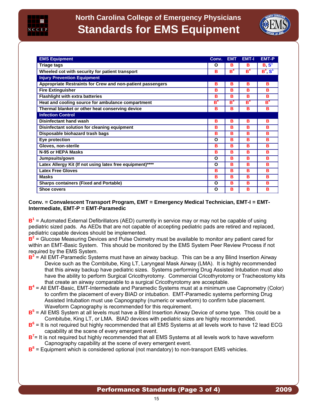

# **North Carolina College of Emergency Physicians Standards for EMS Equipment**



| <b>EMS Equipment</b>                                       | Conv.       | <b>EMT</b> | <b>EMT-I</b>   | <b>EMT-P</b>      |
|------------------------------------------------------------|-------------|------------|----------------|-------------------|
| <b>Triage tags</b>                                         | O           | в          | в              | B, S <sup>1</sup> |
| Wheeled cot with security for patient transport            | в           | $B^8$      | $\mathbf{B}^8$ | $B^8, S^1$        |
| <b>Injury Prevention Equipment</b>                         |             |            |                |                   |
| Appropriate Restraints for Crew and non-patient passengers | в           | в          | в              | в                 |
| <b>Fire Extinguisher</b>                                   | в           | в          | в              | в                 |
| <b>Flashlight with extra batteries</b>                     | в           | в          | в              | в                 |
| Heat and cooling source for ambulance compartment          | ${\bf B^8}$ | $B^8$      | $B^8$          | $B^8$             |
| Thermal blanket or other heat conserving device            | в           | B          | B              | B                 |
| <b>Infection Control</b>                                   |             |            |                |                   |
| Disinfectant hand wash                                     | в           | в          | в              | в                 |
| Disinfectant solution for cleaning equipment               | в           | в          | в              | в                 |
| Disposable biohazard trash bags                            | в           | в          | в              | в                 |
| Eye protection                                             | O           | в          | в              | B                 |
| Gloves, non-sterile                                        | в           | в          | в              | в                 |
| N-95 or HEPA Masks                                         | в           | B          | в              | B                 |
| Jumpsuits/gown                                             | O           | в          | в              | в                 |
| Latex Allergy Kit (If not using latex free equipment)****  | O           | в          | в              | в                 |
| <b>Latex Free Gloves</b>                                   | B           | в          | в              | в                 |
| <b>Masks</b>                                               | в           | в          | в              | в                 |
| <b>Sharps containers (Fixed and Portable)</b>              | O           | в          | в              | в                 |
| <b>Shoe covers</b>                                         | O           | B          | B              | в                 |

#### **Conv. = Convalescent Transport Program, EMT = Emergency Medical Technician, EMT-I = EMT-Intermediate, EMT-P = EMT-Paramedic**

B<sup>1</sup> = Automated External Defibrillators (AED) currently in service may or may not be capable of using pediatric sized pads. As AEDs that are not capable of accepting pediatric pads are retired and replaced, pediatric capable devices should be implemented.

**B 2** = Glucose Measuring Devices and Pulse Oximetry must be available to monitor any patient cared for within an EMT-Basic System. This should be monitored by the EMS System Peer Review Process if not required by the EMS System.

- **B 3** = All EMT-Paramedic Systems must have an airway backup. This can be a any Blind Insertion Airway Device such as the Combitube, King LT, Laryngeal Mask Airway (LMA). It is highly recommended that this airway backup have pediatric sizes. Systems performing Drug Assisted Intubation must also have the ability to perform Surgical Cricothyrotomy. Commercial Cricothyrotomy or Tracheostomy kits that create an airway comparable to a surgical Cricothyrotomy are acceptable.
- B<sup>4</sup> = All EMT-Basic, EMT-Intermediate and Paramedic Systems must at a minimum use Capnometry (Color) to confirm the placement of every BIAD or intubation. EMT-Paramedic systems performing Drug Assisted Intubation must use Capnography (numeric or waveform) to confirm tube placement. Waveform Capnography is recommended for this requirement.
- B<sup>5</sup> = All EMS System at all levels must have a Blind Insertion Airway Device of some type. This could be a Combitube, King LT, or LMA. BIAD devices with pediatric sizes are highly recommended.
- B<sup>6</sup> = It is not required but highly recommended that all EMS Systems at all levels work to have 12 lead ECG capability at the scene of every emergent event.
- B<sup>7</sup> = It is not required but highly recommended that all EMS Systems at all levels work to have waveform Capnography capability at the scene of every emergent event.
- B<sup>8</sup> = Equipment which is considered optional (not mandatory) to non-transport EMS vehicles.

# Performance Standards (Page 3 of 4) 2009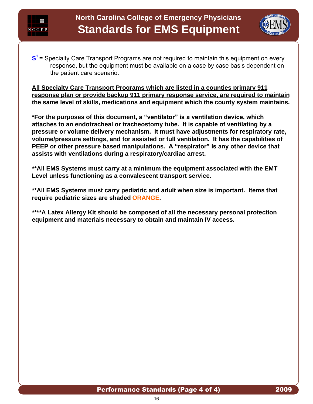



**S<sup>1</sup>**= Specialty Care Transport Programs are not required to maintain this equipment on every response, but the equipment must be available on a case by case basis dependent on the patient care scenario.

**All Specialty Care Transport Programs which are listed in a counties primary 911 response plan or provide backup 911 primary response service, are required to maintain the same level of skills, medications and equipment which the county system maintains.**

**\*For the purposes of this document, a "ventilator" is a ventilation device, which attaches to an endotracheal or tracheostomy tube. It is capable of ventilating by a pressure or volume delivery mechanism. It must have adjustments for respiratory rate, volume/pressure settings, and for assisted or full ventilation. It has the capabilities of PEEP or other pressure based manipulations. A "respirator" is any other device that assists with ventilations during a respiratory/cardiac arrest.**

**\*\*All EMS Systems must carry at a minimum the equipment associated with the EMT Level unless functioning as a convalescent transport service.**

**\*\*All EMS Systems must carry pediatric and adult when size is important. Items that require pediatric sizes are shaded ORANGE.**

**\*\*\*\*A Latex Allergy Kit should be composed of all the necessary personal protection equipment and materials necessary to obtain and maintain IV access.**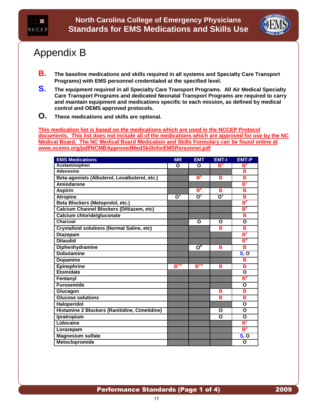<span id="page-18-0"></span>



# Appendix B

- **B. The baseline medications and skills required in all systems and Specialty Care Transport Programs) with EMS personnel credentialed at the specified level.**
- **S. The equipment required in all Specialty Care Transport Programs. All Air Medical Specialty Care Transport Programs and dedicated Neonatal Transport Programs are required to carry and maintain equipment and medications specific to each mission, as defined by medical control and OEMS approved protocols.**
- **O. These medications and skills are optional.**

**This medication list is based on the medications which are used in the NCCEP Protocol documents. This list does not include all of the medications which are approved for use by the NC Medical Board. The NC Medical Board Medication and Skills Formulary can be found online at www.ncems.org/pdf/NCMBApprovedMedSkillsforEMSPersonnel.pdf**

| <b>EMS Medications</b>                            | <b>MR</b>                                              | <b>EMT</b>                                              | <b>EMT-I</b>              | <b>EMT-P</b>            |
|---------------------------------------------------|--------------------------------------------------------|---------------------------------------------------------|---------------------------|-------------------------|
| Acetaminophen                                     | O                                                      | Ο                                                       | $\mathbf{B}^9$            | $\mathsf B^9$           |
| <b>Adenosine</b>                                  |                                                        |                                                         |                           | B                       |
| Beta-agonists (Albuterol, Levalbuterol, etc.)     |                                                        | $B^6$                                                   | в                         | B                       |
| Amiodarone                                        |                                                        |                                                         |                           | $\mathbf{B}^1$          |
| <b>Aspirin</b>                                    |                                                        | $B^6$                                                   | B                         | B                       |
| <b>Atropine</b>                                   | $\overline{\mathsf{o}^\mathsf{\scriptscriptstyle{T}}}$ | $\overline{\mathsf{o}^{\scriptscriptstyle \mathsf{1}}}$ | $\overline{\mathbf{O}}^1$ | B                       |
| Beta Blockers (Metoprolol, etc.)                  |                                                        |                                                         |                           | $\textsf{B}^\textsf{8}$ |
| <b>Calcium Channel Blockers (Diltiazem, etc)</b>  |                                                        |                                                         |                           | $\textbf{B}^\textbf{8}$ |
| Calcium chloride/gluconate                        |                                                        |                                                         |                           | B                       |
| Charcoal                                          |                                                        | Ο                                                       | O                         | O                       |
| <b>Crystalloid solutions (Normal Saline, etc)</b> |                                                        |                                                         | B                         | B                       |
| <b>Diazepam</b>                                   |                                                        |                                                         |                           | $B^2$                   |
| <b>Dilaudid</b>                                   |                                                        |                                                         |                           | $B^9$                   |
| <b>Diphenhydramine</b>                            |                                                        | $\overline{O}^{\overline{6}}$                           | в                         | B                       |
| <b>Dobutamine</b>                                 |                                                        |                                                         |                           | S, O                    |
| Dopamine                                          |                                                        |                                                         |                           | B                       |
| <b>Epinephrine</b>                                | B <sup>5,6</sup>                                       | B <sup>5,6</sup>                                        | в                         | B                       |
| <b>Etomidate</b>                                  |                                                        |                                                         |                           | $\overline{\mathsf{o}}$ |
| Fentanyl                                          |                                                        |                                                         |                           | $\mathsf B^9$           |
| <b>Furosemide</b>                                 |                                                        |                                                         |                           | $\mathbf{o}$            |
| Glucagon                                          |                                                        |                                                         | в                         | в                       |
| <b>Glucose solutions</b>                          |                                                        |                                                         | B                         | B                       |
| Haloperidol                                       |                                                        |                                                         |                           | $\mathbf{o}$            |
| Histamine 2 Blockers (Ranitidine, Cimetidine)     |                                                        |                                                         | O                         | O                       |
| Ipratropium                                       |                                                        |                                                         | O                         | O                       |
| Lidocaine                                         |                                                        |                                                         |                           | $\mathbf{B}^1$          |
| Lorazepam                                         |                                                        |                                                         |                           | $B^2$                   |
| <b>Magnesium sulfate</b>                          |                                                        |                                                         |                           | S, O                    |
| <b>Metoclopromide</b>                             |                                                        |                                                         |                           | $\mathbf{o}$            |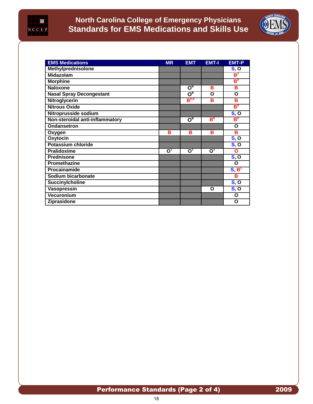



| <b>EMS Medications</b>          | <b>MR</b>                                               | <b>EMT</b>                         | <b>EMT-I</b>              | <b>EMT-P</b>            |
|---------------------------------|---------------------------------------------------------|------------------------------------|---------------------------|-------------------------|
| <b>Methylprednisolone</b>       |                                                         |                                    |                           | S, O                    |
| <b>Midazolam</b>                |                                                         |                                    |                           | $B^2$                   |
| <b>Morphine</b>                 |                                                         |                                    |                           | $\textbf{B}^\textbf{9}$ |
| <b>Naloxone</b>                 |                                                         | $\overline{O}^6$                   | B                         | в                       |
| <b>Nasal Spray Decongestant</b> |                                                         | $\overline{\mathsf{O}}^\mathsf{6}$ | O                         | O                       |
| Nitroglycerin                   |                                                         | $B^{5,6}$                          | в                         | в                       |
| <b>Nitrous Oxide</b>            |                                                         |                                    |                           | $\textbf{B}^\textbf{9}$ |
| Nitroprusside sodium            |                                                         |                                    |                           | S, O                    |
| Non-steroidal anti-inflammatory |                                                         | $\overline{O}^6$                   | $\mathbf{B}^{\mathsf{9}}$ | $\mathsf B^9$           |
| Ondansetron                     |                                                         |                                    |                           | O                       |
| Oxygen                          | в                                                       | в                                  | B                         | в                       |
| <b>Oxytocin</b>                 |                                                         |                                    |                           | S, O                    |
| <b>Potassium chloride</b>       |                                                         |                                    |                           | S, O                    |
| <b>Pralidoxime</b>              | $\overline{\mathsf{o}}^{\scriptscriptstyle{\intercal}}$ | $\overline{\mathsf{O}}^1$          | $\overline{\mathbf{O}^1}$ | $\Omega$                |
| <b>Prednisone</b>               |                                                         |                                    |                           | S, O                    |
| Promethazine                    |                                                         |                                    |                           | O                       |
| Procainamide                    |                                                         |                                    |                           | S, B <sup>1</sup>       |
| Sodium bicarbonate              |                                                         |                                    |                           | в                       |
| Succinylcholine                 |                                                         |                                    |                           | S, O                    |
| Vasopressin                     |                                                         |                                    | O                         | S, O                    |
| Vecuronium                      |                                                         |                                    |                           | O                       |
| Ziprasidone                     |                                                         |                                    |                           | O                       |

# Performance Standards (Page 2 of 4) 2009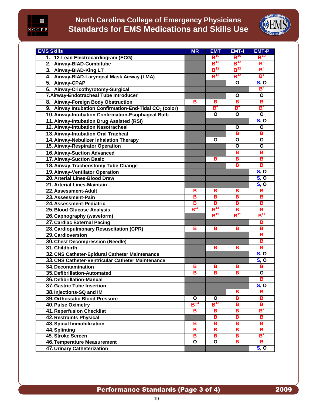<span id="page-20-0"></span>

# **North Carolina College of Emergency Physicians Standards for EMS Medications and Skills Use**



| <b>EMS Skills</b>                                                   | <b>MR</b>               | <b>EMT</b>              | <b>EMT-I</b>            | <b>EMT-P</b>                                      |
|---------------------------------------------------------------------|-------------------------|-------------------------|-------------------------|---------------------------------------------------|
| 1. 12-Lead Electrocardiogram (ECG)                                  |                         | $B$ <sup>10</sup>       | $B^{10}$                | $B^{10}$                                          |
| 2. Airway-BIAD-Combitube                                            |                         | $B^{12}$                | $B^{12}$                | $B^3$                                             |
| 3. Airway-BIAD-King LT                                              |                         | $B^{12}$                | $B^{12}$                | $B^3$                                             |
| 4. Airway-BIAD-Laryngeal Mask Airway (LMA)                          |                         | $B^{12}$                | $B^{12}$                | $B^3$                                             |
| 5. Airway-CPAP                                                      |                         |                         | $\mathbf{o}$            | $\overline{\mathbf{S},\mathbf{O}}$                |
| 6. Airway-Cricothyrotomy-Surgical                                   |                         |                         |                         | $B^3$                                             |
| 7. Airway-Endotracheal Tube Introducer                              |                         |                         | Ο                       | O                                                 |
| 8. Airway-Foreign Body Obstruction                                  | B                       | в                       | $\overline{\mathbf{B}}$ | $\overline{\mathbf{B}}$                           |
| 9. Airway Intubation Confirmation-End-Tidal CO <sub>2</sub> (color) |                         | $\mathsf{B}^4$          | B <sup>4</sup>          | B <sup>4</sup>                                    |
| 10. Airway-Intubation Confirmation-Esophageal Bulb                  |                         | O                       | $\overline{o}$          | $\overline{o}$                                    |
| 11. Airway-Intubation Drug Assisted (RSI)                           |                         |                         |                         | S, O                                              |
| 12. Airway-Intubation Nasotracheal                                  |                         |                         | O                       | $\overline{\mathbf{o}}$                           |
| 13. Airway-Intubation Oral Tracheal                                 |                         |                         | B                       | $\overline{\mathbf{B}}$                           |
| 14. Airway-Nebulizer Inhalation Therapy                             |                         | O                       | O                       | O                                                 |
| 15. Airway-Respirator Operation                                     |                         |                         | O                       | O                                                 |
| <b>16. Airway-Suction Advanced</b>                                  |                         |                         | B                       | B                                                 |
| 17. Airway-Suction Basic                                            |                         | в                       | в                       | B                                                 |
| 18. Airway-Tracheostomy Tube Change                                 |                         |                         | в                       | В                                                 |
| 19. Airway-Ventilator Operation                                     |                         |                         |                         | $\overline{\mathbf{s}}$ , $\overline{\mathbf{o}}$ |
| 20. Arterial Lines-Blood Draw                                       |                         |                         |                         | S, O                                              |
| 21. Arterial Lines-Maintain                                         |                         |                         |                         | S, O                                              |
| 22. Assessment-Adult                                                | B                       | В                       | В                       | B                                                 |
| 23. Assessment-Pain                                                 | B                       | B                       | B                       | В                                                 |
| 24. Assessment-Pediatric                                            | $\overline{\mathbf{B}}$ | $\overline{\mathbf{B}}$ | $\overline{\mathbf{B}}$ | $\overline{\mathbf{B}}$                           |
| 25. Blood Glucose Analysis                                          | $B^{13}$                | $B^{13}$                | B                       | B                                                 |
| 26. Capnography (waveform)                                          |                         | $\mathsf{B}^{11}$       | $B^{11}$                | $B^{11}$                                          |
| 27. Cardiac External Pacing                                         |                         |                         |                         | в                                                 |
| 28. Cardiopulmonary Resuscitation (CPR)                             | в                       | в                       | в                       | в                                                 |
| 29. Cardioversion                                                   |                         |                         |                         | $\overline{B}$                                    |
| 30. Chest Decompression (Needle)                                    |                         |                         |                         | B                                                 |
| 31. Childbirth                                                      |                         | в                       | В                       | B                                                 |
| 32. CNS Catheter-Epidural Catheter Maintenance                      |                         |                         |                         | $\overline{\mathbf{S},\mathbf{O}}$                |
| 33. CNS Catheter-Ventricular Catheter Maintenance                   |                         |                         |                         | S, O                                              |
| 34. Decontamination                                                 | в                       | в                       | в                       | в                                                 |
| 35. Defibrillation-Automated                                        | $\overline{\mathbf{B}}$ | B                       | B                       | $\mathbf{o}$                                      |
| 36. Defibrillation-Manual                                           |                         |                         |                         | В                                                 |
| 37. Gastric Tube Insertion                                          |                         |                         |                         | S, O                                              |
| 38. Injections-SQ and IM                                            |                         |                         | в                       | В                                                 |
| 39. Orthostatic Blood Pressure                                      | O                       | O                       | B                       | В                                                 |
| <b>40. Pulse Oximetry</b>                                           | $B^{13}$                | $B^{13}$                | B                       | в                                                 |
| <b>41. Reperfusion Checklist</b>                                    | в                       | в                       | B                       | $B^7$                                             |
| <b>42. Restraints Physical</b>                                      |                         | в                       | в                       | В                                                 |
| 43. Spinal Immobilization                                           | в                       | $\overline{\mathbf{B}}$ | В                       | B                                                 |
| 44. Splinting                                                       | B                       | В                       | В                       | В                                                 |
| 45. Stroke Screen                                                   | B                       | B                       | B                       | $B^7$                                             |
| 46. Temperature Measurement                                         | O                       | O                       | в                       | В                                                 |
| 47. Urinary Catheterization                                         |                         |                         |                         | S, O                                              |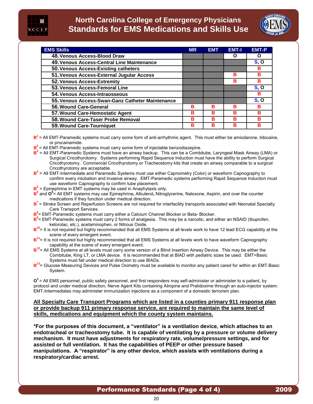

# **North Carolina College of Emergency Physicians Standards for EMS Medications and Skills Use**



| <b>EMS Skills</b>                                | <b>MR</b> | <b>EMT</b> | <b>EMT-I</b> | <b>EMT-P</b> |
|--------------------------------------------------|-----------|------------|--------------|--------------|
| 48. Venous Access-Blood Draw                     |           |            |              | O            |
| 49. Venous Access-Central Line Maintenance       |           |            |              | S, O         |
| 50. Venous Access-Existing catheters             |           |            |              | в            |
| 51. Venous Access-External Jugular Access        |           |            | в            | в            |
| 52. Venous Access-Extremity                      |           |            | в            | в            |
| 53. Venous Access-Femoral Line                   |           |            |              | S, O         |
| 54. Venous Access-Intraosseous                   |           |            |              | в            |
| 55. Venous Access-Swan-Ganz Catheter Maintenance |           |            |              | S, O         |
| 56. Wound Care-General                           | в         | в          | в            | в            |
| 57. Wound Care-Hemostatic Agent                  | в         | в          | в            | в            |
| 58. Wound Care-Taser Probe Removal               | в         | в          | в            | в            |
| 59. Wound Care-Tourniquet                        | в         | в          | в            | в            |

B<sup>1</sup> = All EMT-Paramedic systems must carry some form of anti-arrhythmic agent. This must either be amiodarone, lidocaine, or procainamide.

- B<sup>2</sup> = All EMT-Paramedic systems must carry some form of injectable benzodiazepine.
- **B 3** = All EMT-Paramedic Systems must have an airway backup. This can be a Combitube, Laryngeal Mask Airway (LMA) or Surgical Cricothyrotomy. Systems performing Rapid Sequence Induction must have the ability to perform Surgical Cricothyrotomy. Commercial Cricothyrotomy or Tracheostomy kits that create an airway comparable to a surgical Cricothyrotomy are acceptable.
- B<sup>4</sup> = All EMT-Intermediate and Paramedic Systems must use either Capnometry (Color) or waveform Capnography to confirm every intubation and invasive airway. EMT-Paramedic systems performing Rapid Sequence Induction must use waveform Capnography to confirm tube placement.
- **B**<sup>5</sup> = Epinephrine in EMT systems may be used in Anaphylaxis only.
- **B 6** and **O 6** = All EMT systems may use Epinephrine**,** Albuterol**,** Nitroglycerine, Naloxone, Aspirin, and over the counter medications if they function under medical direction.
- B<sup>7</sup> = Stroke Screen and Reperfusion Screens are not required for interfacility transports associated with Neonatal Specialty Care Transport Services.
- **B 8** = EMT-Paramedic systems must carry either a Calcium Channel Blocker or Beta- Blocker.
- B<sup>9</sup> = EMT-Paramedic systems must carry 2 forms of analgesia. This may be a narcotic, and either an NSAID (Ibuprofen, ketorolac, etc.), acetaminophen, or Nitrous Oxide.
- B<sup>10</sup>= It is not required but highly recommended that all EMS Systems at all levels work to have 12 lead ECG capability at the scene of every emergent event.
- B<sup>11</sup> = It is not required but highly recommended that all EMS Systems at all levels work to have waveform Capnography capability at the scene of every emergent event.
- B<sup>12</sup> = All EMS Systems at all levels must carry some version of a Blind Insertion Airway Device. This may be either the Combitube, King LT, or LMA device. It is recommended that at BIAD with pediatric sizes be used. EMT=Basic Systems must fall under medical direction to use BIADs.
- B<sup>13</sup> = Glucose Measuring Devices and Pulse Oximetry must be available to monitor any patient cared for within an EMT-Basic System.

**O <sup>1</sup>**= All EMS personnel, public safety personnel, and first responders may self-administer or administer to a patient, by protocol and under medical direction, Nerve Agent Kits containing Atropine and Pralidoxime through an auto-injector system. EMT-Intermediates may administer immunization injections as a component of a domestic terrorism plan.

#### **All Specialty Care Transport Programs which are listed in a counties primary 911 response plan or provide backup 911 primary response service, are required to maintain the same level of skills, medications and equipment which the county system maintains.**

**\*For the purposes of this document, a "ventilator" is a ventilation device, which attaches to an endotracheal or tracheostomy tube. It is capable of ventilating by a pressure or volume delivery mechanism. It must have adjustments for respiratory rate, volume/pressure settings, and for assisted or full ventilation. It has the capabilities of PEEP or other pressure based manipulations. A "respirator" is any other device, which assists with ventilations during a respiratory/cardiac arrest.**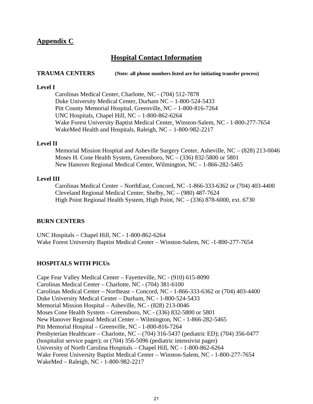# <span id="page-22-0"></span>**Appendix C**

# **Hospital Contact Information**

### **TRAUMA CENTERS (Note: all phone numbers listed are for initiating transfer process)**

#### **Level I**

Carolinas Medical Center, Charlotte, NC - (704) 512-7878 Duke University Medical Center, Durham NC – 1-800-524-5433 Pitt County Memorial Hospital, Greenville, NC – 1-800-816-7264 UNC Hospitals, Chapel Hill, NC – 1-800-862-6264 Wake Forest University Baptist Medical Center, Winston-Salem, NC - 1-800-277-7654 WakeMed Health and Hospitals, Raleigh, NC – 1-800-982-2217

### **Level II**

Memorial Mission Hospital and Asheville Surgery Center, Asheville, NC – (828) 213-0046 Moses H. Cone Health System, Greensboro, NC – (336) 832-5800 or 5801 New Hanover Regional Medical Center, Wilmington, NC – 1-866-282-5465

#### **Level III**

Carolinas Medical Center – NorthEast, Concord, NC -1-866-333-6362 or (704) 403-4400 Cleveland Regional Medical Center, Shelby, NC – (980) 487-7624 High Point Regional Health System, High Point, NC – (336) 878-6000, ext. 6730

### **BURN CENTERS**

UNC Hospitals – Chapel Hill, NC - 1-800-862-6264 Wake Forest University Baptist Medical Center – Winston-Salem, NC -1-800-277-7654

### **HOSPITALS WITH PICUs**

Cape Fear Valley Medical Center – Fayetteville, NC - (910) 615-8090 Carolinas Medical Center – Charlotte, NC - (704) 381-6100 Carolinas Medical Center – Northeast – Concord, NC - 1-866-333-6362 or (704) 403-4400 Duke University Medical Center – Durham, NC - 1-800-524-5433 Memorial Mission Hospital – Asheville, NC - (828) 213-0046 Moses Cone Health System – Greensboro, NC - (336) 832-5800 or 5801 New Hanover Regional Medical Center – Wilmington, NC - 1-866-282-5465 Pitt Memorial Hospital – Greenville, NC - 1-800-816-7264 Presbyterian Healthcare – Charlotte, NC – (704) 316-5437 (pediatric ED); (704) 356-0477 (hospitalist service pager); or (704) 356-5096 (pediatric intensivist pager) University of North Carolina Hospitals – Chapel Hill, NC - 1-800-862-6264 Wake Forest University Baptist Medical Center – Winston-Salem, NC - 1-800-277-7654 WakeMed – Raleigh, NC - 1-800-982-2217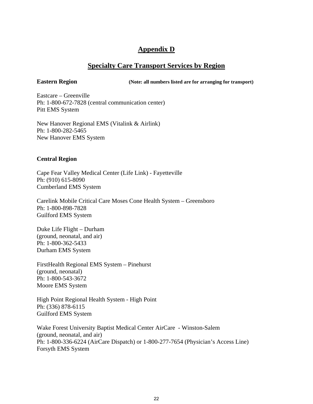# **Appendix D**

# **Specialty Care Transport Services by Region**

<span id="page-23-0"></span>**Eastern Region** (Note: all numbers listed are for arranging for transport)

Eastcare – Greenville Ph: 1-800-672-7828 (central communication center) Pitt EMS System

New Hanover Regional EMS (Vitalink & Airlink) Ph: 1-800-282-5465 New Hanover EMS System

# **Central Region**

 Cape Fear Valley Medical Center (Life Link) - Fayetteville Ph: (910) 615-8090 Cumberland EMS System

Carelink Mobile Critical Care Moses Cone Health System – Greensboro Ph: 1-800-898-7828 Guilford EMS System

 Duke Life Flight – Durham (ground, neonatal, and air) Ph: 1-800-362-5433 Durham EMS System

FirstHealth Regional EMS System – Pinehurst (ground, neonatal) Ph: 1-800-543-3672 Moore EMS System

 High Point Regional Health System - High Point Ph: (336) 878-6115 Guilford EMS System

 Wake Forest University Baptist Medical Center AirCare - Winston-Salem (ground, neonatal, and air) Ph: 1-800-336-6224 (AirCare Dispatch) or 1-800-277-7654 (Physician's Access Line) Forsyth EMS System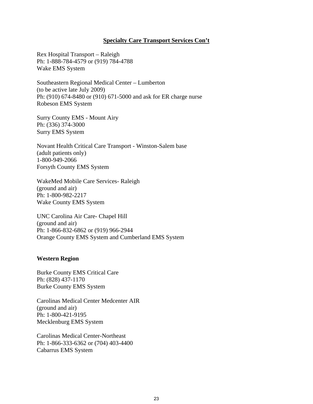### **Specialty Care Transport Services Con't**

Rex Hospital Transport – Raleigh Ph: 1-888-784-4579 or (919) 784-4788 Wake EMS System

 Southeastern Regional Medical Center – Lumberton (to be active late July 2009) Ph: (910) 674-8480 or (910) 671-5000 and ask for ER charge nurse Robeson EMS System

 Surry County EMS - Mount Airy Ph: (336) 374-3000 Surry EMS System

Novant Health Critical Care Transport - Winston-Salem base (adult patients only) 1-800-949-2066 Forsyth County EMS System

WakeMed Mobile Care Services- Raleigh (ground and air) Ph: 1-800-982-2217 Wake County EMS System

UNC Carolina Air Care- Chapel Hill (ground and air) Ph: 1-866-832-6862 or (919) 966-2944 Orange County EMS System and Cumberland EMS System

### **Western Region**

Burke County EMS Critical Care Ph: (828) 437-1170 Burke County EMS System

Carolinas Medical Center Medcenter AIR (ground and air) Ph: 1-800-421-9195 Mecklenburg EMS System

Carolinas Medical Center-Northeast Ph: 1-866-333-6362 or (704) 403-4400 Cabarrus EMS System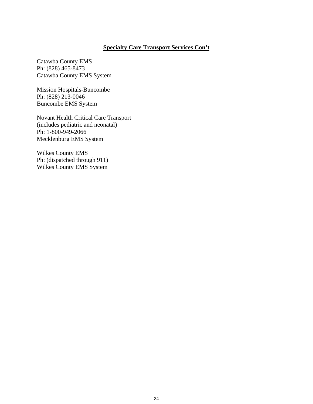# **Specialty Care Transport Services Con't**

Catawba County EMS Ph: (828) 465-8473 Catawba County EMS System

Mission Hospitals-Buncombe Ph: (828) 213-0046 Buncombe EMS System

Novant Health Critical Care Transport (includes pediatric and neonatal) Ph: 1-800-949-2066 Mecklenburg EMS System

Wilkes County EMS Ph: (dispatched through 911) Wilkes County EMS System